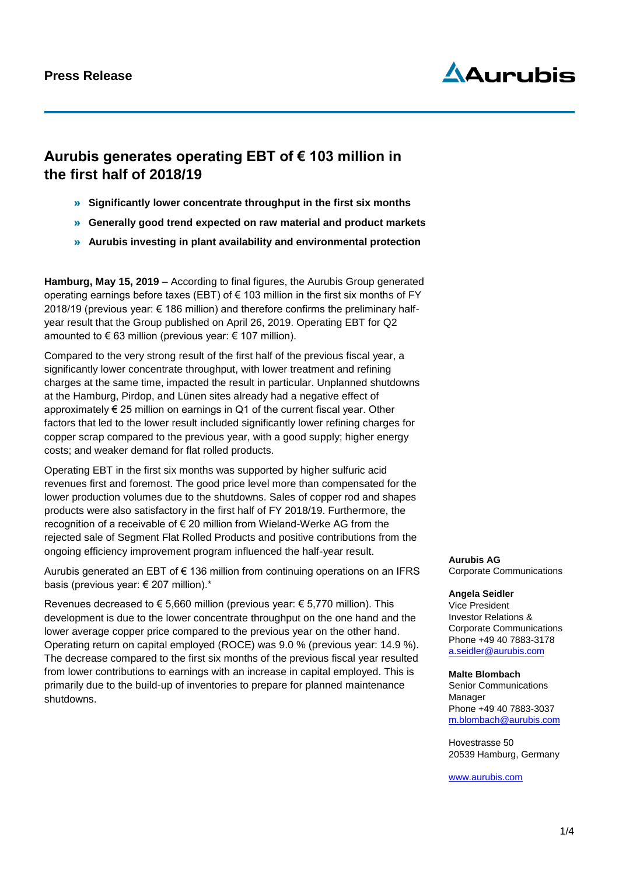## **Press Release**

# Aduruhis

# **Aurubis generates operating EBT of € 103 million in the first half of 2018/19**

- » **Significantly lower concentrate throughput in the first six months**
- » **Generally good trend expected on raw material and product markets**
- » **Aurubis investing in plant availability and environmental protection**

**Hamburg, May 15, 2019** – According to final figures, the Aurubis Group generated operating earnings before taxes (EBT) of  $\epsilon$  103 million in the first six months of FY 2018/19 (previous year: € 186 million) and therefore confirms the preliminary halfyear result that the Group published on April 26, 2019. Operating EBT for Q2 amounted to  $\epsilon$  63 million (previous year:  $\epsilon$  107 million).

Compared to the very strong result of the first half of the previous fiscal year, a significantly lower concentrate throughput, with lower treatment and refining charges at the same time, impacted the result in particular. Unplanned shutdowns at the Hamburg, Pirdop, and Lünen sites already had a negative effect of approximately  $\epsilon$  25 million on earnings in Q1 of the current fiscal year. Other factors that led to the lower result included significantly lower refining charges for copper scrap compared to the previous year, with a good supply; higher energy costs; and weaker demand for flat rolled products.

Operating EBT in the first six months was supported by higher sulfuric acid revenues first and foremost. The good price level more than compensated for the lower production volumes due to the shutdowns. Sales of copper rod and shapes products were also satisfactory in the first half of FY 2018/19. Furthermore, the recognition of a receivable of € 20 million from Wieland-Werke AG from the rejected sale of Segment Flat Rolled Products and positive contributions from the ongoing efficiency improvement program influenced the half-year result.

Aurubis generated an EBT of  $\epsilon$  136 million from continuing operations on an IFRS basis (previous year: € 207 million).\*

Revenues decreased to € 5,660 million (previous year: € 5,770 million). This development is due to the lower concentrate throughput on the one hand and the lower average copper price compared to the previous year on the other hand. Operating return on capital employed (ROCE) was 9.0 % (previous year: 14.9 %). The decrease compared to the first six months of the previous fiscal year resulted from lower contributions to earnings with an increase in capital employed. This is primarily due to the build-up of inventories to prepare for planned maintenance shutdowns.

**Aurubis AG** Corporate Communications

#### **Angela Seidler**

Vice President Investor Relations & Corporate Communications Phone +49 40 7883-3178 a.seidler@aurubis.com

#### **Malte Blombach**

Senior Communications Manager Phone +49 40 7883-3037 [m.blombach@aurubis.com](mailto:m.blombach@aurubis.com)

Hovestrasse 50 20539 Hamburg, Germany

[www.aurubis.com](http://www.aurubis.com/)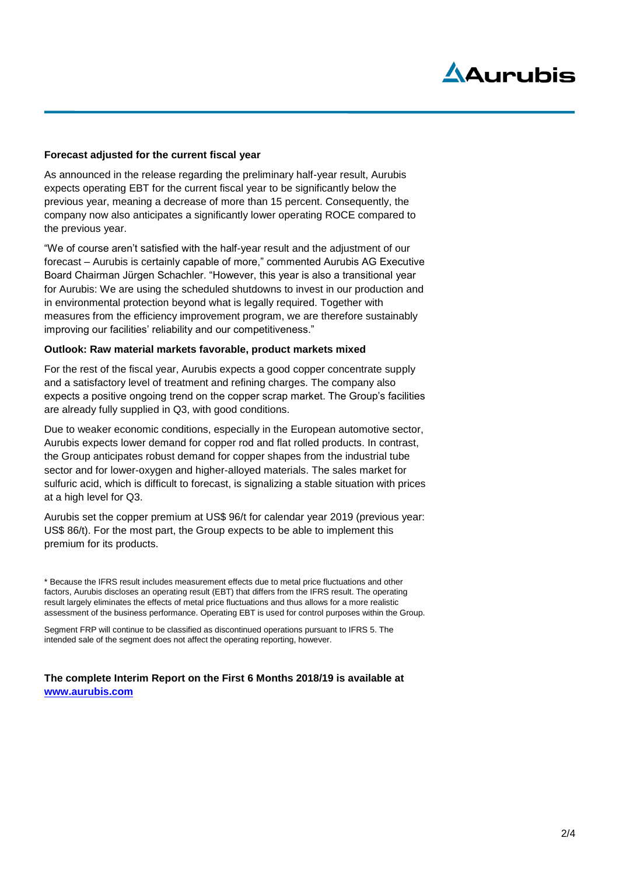# Aduruhis

### **Forecast adjusted for the current fiscal year**

As announced in the release regarding the preliminary half-year result, Aurubis expects operating EBT for the current fiscal year to be significantly below the previous year, meaning a decrease of more than 15 percent. Consequently, the company now also anticipates a significantly lower operating ROCE compared to the previous year.

"We of course aren't satisfied with the half-year result and the adjustment of our forecast – Aurubis is certainly capable of more," commented Aurubis AG Executive Board Chairman Jürgen Schachler. "However, this year is also a transitional year for Aurubis: We are using the scheduled shutdowns to invest in our production and in environmental protection beyond what is legally required. Together with measures from the efficiency improvement program, we are therefore sustainably improving our facilities' reliability and our competitiveness."

#### **Outlook: Raw material markets favorable, product markets mixed**

For the rest of the fiscal year, Aurubis expects a good copper concentrate supply and a satisfactory level of treatment and refining charges. The company also expects a positive ongoing trend on the copper scrap market. The Group's facilities are already fully supplied in Q3, with good conditions.

Due to weaker economic conditions, especially in the European automotive sector, Aurubis expects lower demand for copper rod and flat rolled products. In contrast, the Group anticipates robust demand for copper shapes from the industrial tube sector and for lower-oxygen and higher-alloyed materials. The sales market for sulfuric acid, which is difficult to forecast, is signalizing a stable situation with prices at a high level for Q3.

Aurubis set the copper premium at US\$ 96/t for calendar year 2019 (previous year: US\$ 86/t). For the most part, the Group expects to be able to implement this premium for its products.

\* Because the IFRS result includes measurement effects due to metal price fluctuations and other factors, Aurubis discloses an operating result (EBT) that differs from the IFRS result. The operating result largely eliminates the effects of metal price fluctuations and thus allows for a more realistic assessment of the business performance. Operating EBT is used for control purposes within the Group.

Segment FRP will continue to be classified as discontinued operations pursuant to IFRS 5. The intended sale of the segment does not affect the operating reporting, however.

### **The complete Interim Report on the First 6 Months 2018/19 is available at [www.aurubis.com](http://www.aurubis.com/)**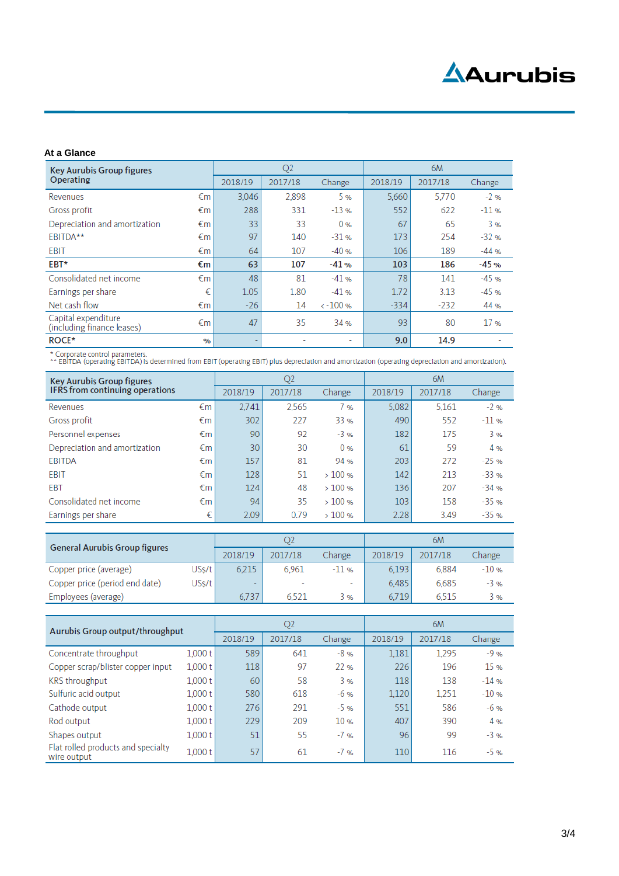#### **At a Glance**

| <b>Key Aurubis Group figures</b><br>Operating     |      | Q <sub>2</sub> |         |                          | 6M      |         |         |  |
|---------------------------------------------------|------|----------------|---------|--------------------------|---------|---------|---------|--|
|                                                   |      | 2018/19        | 2017/18 | Change                   | 2018/19 | 2017/18 | Change  |  |
| Revenues                                          | €m   | 3.046          | 2,898   | 5 %                      | 5.660   | 5.770   | $-2$ %  |  |
| Gross profit                                      | €m   | 288            | 331     | $-13%$                   | 552     | 622     | $-11$ % |  |
| Depreciation and amortization                     | €m   | 33             | 33      | 0 <sub>%</sub>           | 67      | 65      | 3%      |  |
| EBITDA**                                          | €m   | 97             | 140     | $-31$ %                  | 173     | 254     | $-32%$  |  |
| EBIT                                              | €m   | 64             | 107     | $-40%$                   | 106     | 189     | $-44%$  |  |
| EBT*                                              | €m   | 63             | 107     | $-41%$                   | 103     | 186     | $-45%$  |  |
| Consolidated net income                           | €m   | 48             | 81      | $-41%$                   | 78      | 141     | $-45%$  |  |
| Earnings per share                                | €    | 1.05           | 1.80    | $-41%$                   | 1.72    | 3.13    | $-45%$  |  |
| Net cash flow                                     | €m   | $-26$          | 14      | $\leftarrow 100$ %       | $-334$  | $-232$  | 44 %    |  |
| Capital expenditure<br>(including finance leases) | €m   | 47             | 35      | 34 %                     | 93      | 80      | 17%     |  |
| ROCE*                                             | $\%$ |                |         | $\overline{\phantom{0}}$ | 9.0     | 14.9    |         |  |

\* Corporate control parameters.<br>\*\* EBITDA (operating EBITDA) is determined from EBIT (operating EBIT) plus depreciation and amortization (operating depreciation and amortization).

| <b>Key Aurubis Group figures</b><br>IFRS from continuing operations |    | Q <sub>2</sub> |         |                | 6M      |         |         |
|---------------------------------------------------------------------|----|----------------|---------|----------------|---------|---------|---------|
|                                                                     |    | 2018/19        | 2017/18 | Change         | 2018/19 | 2017/18 | Change  |
| Revenues                                                            | €m | 2.741          | 2,565   | 7 %            | 5,082   | 5,161   | $-2%$   |
| Gross profit                                                        | €m | 302            | 227     | 33 %           | 490     | 552     | $-11$ % |
| Personnel expenses                                                  | €m | 90             | 92      | $-3%$          | 182     | 175     | 3%      |
| Depreciation and amortization                                       | €m | 30             | 30      | 0 <sub>%</sub> | 61      | 59      | 4 %     |
| EBITDA                                                              | €m | 157            | 81      | 94 %           | 203     | 272     | $-25%$  |
| EBIT                                                                | €m | 128            | 51      | >100%          | 142     | 213     | $-33%$  |
| EBT                                                                 | €m | 124            | 48      | >100%          | 136     | 207     | $-34%$  |
| Consolidated net income                                             | €m | 94             | 35      | >100%          | 103     | 158     | $-35%$  |
| Earnings per share                                                  | €  | 2.09           | 0.79    | >100%          | 2.28    | 3.49    | $-35%$  |

| <b>General Aurubis Group figures</b> |       |         |         |         | 6M      |         |         |  |
|--------------------------------------|-------|---------|---------|---------|---------|---------|---------|--|
|                                      |       | 2018/19 | 2017/18 | Change  | 2018/19 | 2017/18 | Change  |  |
| Copper price (average)               | USs/t | 6.215   | 6.961   | $-11$ % | 6.193   | 6.884   | $-10$ % |  |
| Copper price (period end date)       | USs/t |         |         | $\sim$  | 6,485   | 6,685   | $-3%$   |  |
| Employees (average)                  |       | 6.737   | 6.521   | 3%      | 6.719   | 6.515   | 3%      |  |

| Aurubis Group output/throughput                   |         | Q <sub>2</sub> |         |        | 6M      |         |         |  |
|---------------------------------------------------|---------|----------------|---------|--------|---------|---------|---------|--|
|                                                   |         | 2018/19        | 2017/18 | Change | 2018/19 | 2017/18 | Change  |  |
| Concentrate throughput                            | 1,000 t | 589            | 641     | $-8%$  | 1,181   | 1,295   | $-9%$   |  |
| Copper scrap/blister copper input                 | 1,000 t | 118            | 97      | 22%    | 226     | 196     | 15 %    |  |
| <b>KRS</b> throughput                             | 1,000 t | 60             | 58      | 3%     | 118     | 138     | $-14$ % |  |
| Sulfuric acid output                              | 1,000 t | 580            | 618     | $-6$ % | 1,120   | 1,251   | $-10%$  |  |
| Cathode output                                    | 1,000 t | 276            | 291     | $-5$ % | 551     | 586     | $-6$ %  |  |
| Rod output                                        | 1,000t  | 229            | 209     | 10%    | 407     | 390     | 4%      |  |
| Shapes output                                     | 1,000t  | 51             | 55      | $-7$ % | 96      | 99      | $-3%$   |  |
| Flat rolled products and specialty<br>wire output | 1,000t  | 57             | 61      | $-7$ % | 110     | 116     | $-5$ %  |  |